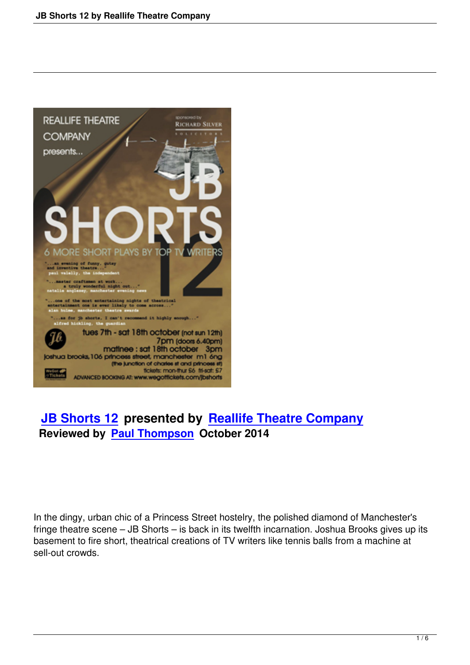

# **JB Shorts 12 presented by Reallife Theatre Company Reviewed by Paul Thompson October 2014**

In the dingy, urban chic of a Princess Street hostelry, the polished diamond of Manchester's fringe theatre scene – JB Shorts – is back in its twelfth incarnation. Joshua Brooks gives up its basement to fire short, theatrical creations of TV writers like tennis balls from a machine at sell-out crowds.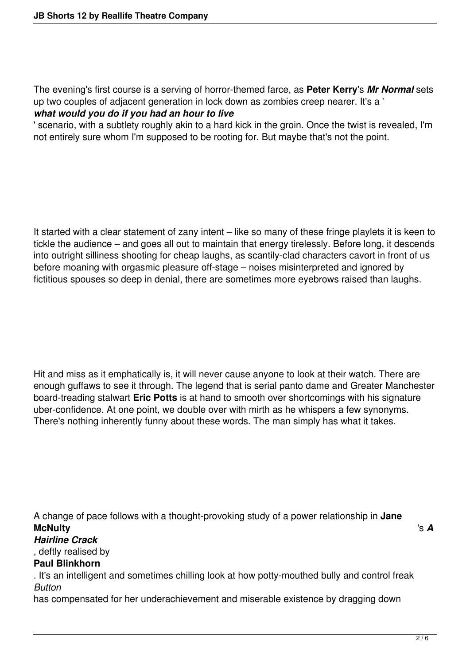The evening's first course is a serving of horror-themed farce, as **Peter Kerry**'s *Mr Normal* sets up two couples of adjacent generation in lock down as zombies creep nearer. It's a ' *what would you do if you had an hour to live*

' scenario, with a subtlety roughly akin to a hard kick in the groin. Once the twist is revealed, I'm not entirely sure whom I'm supposed to be rooting for. But maybe that's not the point.

It started with a clear statement of zany intent – like so many of these fringe playlets it is keen to tickle the audience – and goes all out to maintain that energy tirelessly. Before long, it descends into outright silliness shooting for cheap laughs, as scantily-clad characters cavort in front of us before moaning with orgasmic pleasure off-stage – noises misinterpreted and ignored by fictitious spouses so deep in denial, there are sometimes more eyebrows raised than laughs.

Hit and miss as it emphatically is, it will never cause anyone to look at their watch. There are enough guffaws to see it through. The legend that is serial panto dame and Greater Manchester board-treading stalwart **Eric Potts** is at hand to smooth over shortcomings with his signature uber-confidence. At one point, we double over with mirth as he whispers a few synonyms. There's nothing inherently funny about these words. The man simply has what it takes.

A change of pace follows with a thought-provoking study of a power relationship in **Jane McNulty** 's *A*

## *Hairline Crack*

, deftly realised by

#### **Paul Blinkhorn**

. It's an intelligent and sometimes chilling look at how potty-mouthed bully and control freak *Button* 

has compensated for her underachievement and miserable existence by dragging down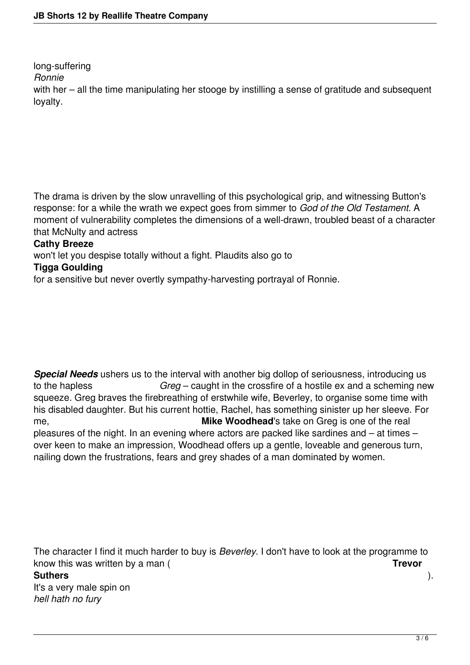long-suffering

*Ronnie* 

with her – all the time manipulating her stooge by instilling a sense of gratitude and subsequent loyalty.

The drama is driven by the slow unravelling of this psychological grip, and witnessing Button's response: for a while the wrath we expect goes from simmer to *God of the Old Testament*. A moment of vulnerability completes the dimensions of a well-drawn, troubled beast of a character that McNulty and actress

### **Cathy Breeze**

won't let you despise totally without a fight. Plaudits also go to

## **Tigga Goulding**

for a sensitive but never overtly sympathy-harvesting portrayal of Ronnie.

*Special Needs* ushers us to the interval with another big dollop of seriousness, introducing us to the hapless *Greg* – caught in the crossfire of a hostile ex and a scheming new squeeze. Greg braves the firebreathing of erstwhile wife, Beverley, to organise some time with his disabled daughter. But his current hottie, Rachel, has something sinister up her sleeve. For me, **Mike Woodhead**'s take on Greg is one of the real pleasures of the night. In an evening where actors are packed like sardines and – at times – over keen to make an impression, Woodhead offers up a gentle, loveable and generous turn, nailing down the frustrations, fears and grey shades of a man dominated by women.

The character I find it much harder to buy is *Beverley*. I don't have to look at the programme to know this was written by a man ( **Trevor Suthers** ). It's a very male spin on *hell hath no fury*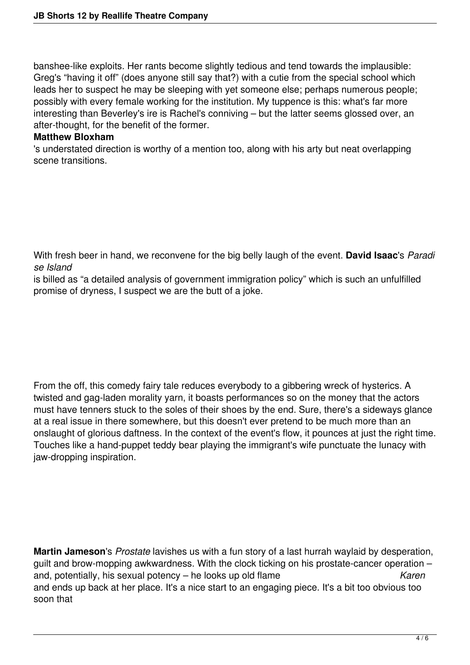banshee-like exploits. Her rants become slightly tedious and tend towards the implausible: Greg's "having it off" (does anyone still say that?) with a cutie from the special school which leads her to suspect he may be sleeping with yet someone else; perhaps numerous people; possibly with every female working for the institution. My tuppence is this: what's far more interesting than Beverley's ire is Rachel's conniving – but the latter seems glossed over, an after-thought, for the benefit of the former.

#### **Matthew Bloxham**

's understated direction is worthy of a mention too, along with his arty but neat overlapping scene transitions.

With fresh beer in hand, we reconvene for the big belly laugh of the event. **David Isaac**'s *Paradi se Island*

is billed as "a detailed analysis of government immigration policy" which is such an unfulfilled promise of dryness, I suspect we are the butt of a joke.

From the off, this comedy fairy tale reduces everybody to a gibbering wreck of hysterics. A twisted and gag-laden morality yarn, it boasts performances so on the money that the actors must have tenners stuck to the soles of their shoes by the end. Sure, there's a sideways glance at a real issue in there somewhere, but this doesn't ever pretend to be much more than an onslaught of glorious daftness. In the context of the event's flow, it pounces at just the right time. Touches like a hand-puppet teddy bear playing the immigrant's wife punctuate the lunacy with jaw-dropping inspiration.

**Martin Jameson**'s *Prostate* lavishes us with a fun story of a last hurrah waylaid by desperation, guilt and brow-mopping awkwardness. With the clock ticking on his prostate-cancer operation – and, potentially, his sexual potency – he looks up old flame *Karen* and ends up back at her place. It's a nice start to an engaging piece. It's a bit too obvious too soon that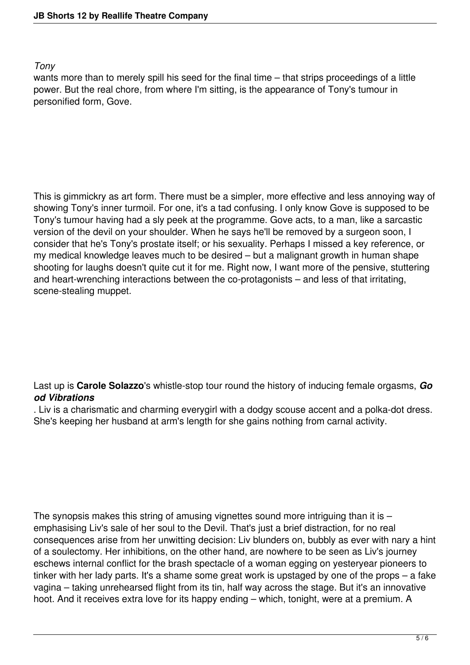#### *Tony*

wants more than to merely spill his seed for the final time – that strips proceedings of a little power. But the real chore, from where I'm sitting, is the appearance of Tony's tumour in personified form, Gove.

This is gimmickry as art form. There must be a simpler, more effective and less annoying way of showing Tony's inner turmoil. For one, it's a tad confusing. I only know Gove is supposed to be Tony's tumour having had a sly peek at the programme. Gove acts, to a man, like a sarcastic version of the devil on your shoulder. When he says he'll be removed by a surgeon soon, I consider that he's Tony's prostate itself; or his sexuality. Perhaps I missed a key reference, or my medical knowledge leaves much to be desired – but a malignant growth in human shape shooting for laughs doesn't quite cut it for me. Right now, I want more of the pensive, stuttering and heart-wrenching interactions between the co-protagonists – and less of that irritating, scene-stealing muppet.

Last up is **Carole Solazzo**'s whistle-stop tour round the history of inducing female orgasms, *Go od Vibrations*

. Liv is a charismatic and charming everygirl with a dodgy scouse accent and a polka-dot dress. She's keeping her husband at arm's length for she gains nothing from carnal activity.

The synopsis makes this string of amusing vignettes sound more intriguing than it is  $$ emphasising Liv's sale of her soul to the Devil. That's just a brief distraction, for no real consequences arise from her unwitting decision: Liv blunders on, bubbly as ever with nary a hint of a soulectomy. Her inhibitions, on the other hand, are nowhere to be seen as Liv's journey eschews internal conflict for the brash spectacle of a woman egging on yesteryear pioneers to tinker with her lady parts. It's a shame some great work is upstaged by one of the props – a fake vagina – taking unrehearsed flight from its tin, half way across the stage. But it's an innovative hoot. And it receives extra love for its happy ending – which, tonight, were at a premium. A